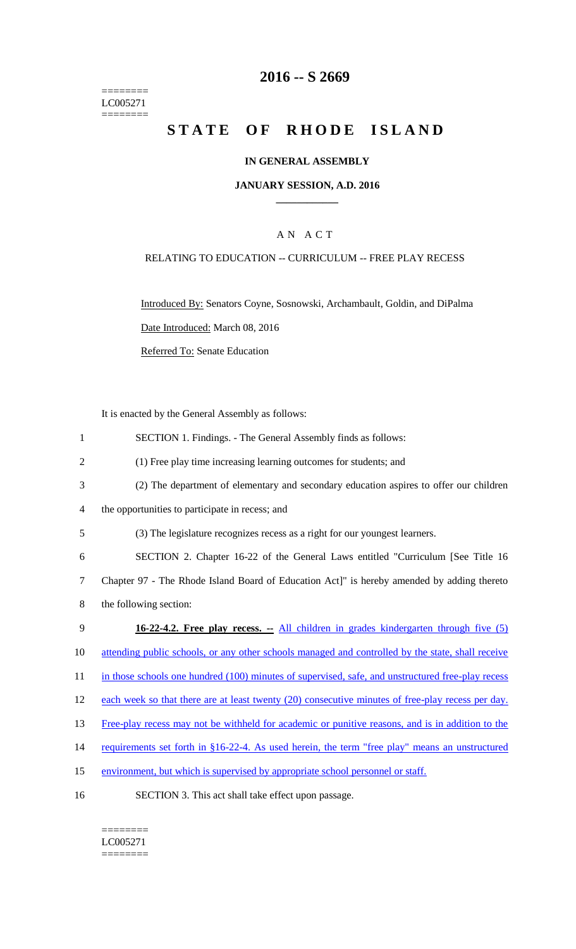======== LC005271  $=$ 

# **2016 -- S 2669**

# STATE OF RHODE ISLAND

## **IN GENERAL ASSEMBLY**

#### **JANUARY SESSION, A.D. 2016 \_\_\_\_\_\_\_\_\_\_\_\_**

## A N A C T

## RELATING TO EDUCATION -- CURRICULUM -- FREE PLAY RECESS

Introduced By: Senators Coyne, Sosnowski, Archambault, Goldin, and DiPalma Date Introduced: March 08, 2016

Referred To: Senate Education

It is enacted by the General Assembly as follows:

| $\mathbf{1}$   | SECTION 1. Findings. - The General Assembly finds as follows:                                     |
|----------------|---------------------------------------------------------------------------------------------------|
| $\overline{2}$ | (1) Free play time increasing learning outcomes for students; and                                 |
| 3              | (2) The department of elementary and secondary education aspires to offer our children            |
| $\overline{4}$ | the opportunities to participate in recess; and                                                   |
| 5              | (3) The legislature recognizes recess as a right for our youngest learners.                       |
| 6              | SECTION 2. Chapter 16-22 of the General Laws entitled "Curriculum [See Title 16                   |
| $\tau$         | Chapter 97 - The Rhode Island Board of Education Act]" is hereby amended by adding thereto        |
| 8              | the following section:                                                                            |
|                |                                                                                                   |
| 9              | 16-22-4.2. Free play recess. - All children in grades kindergarten through five (5)               |
| 10             | attending public schools, or any other schools managed and controlled by the state, shall receive |
| 11             | in those schools one hundred (100) minutes of supervised, safe, and unstructured free-play recess |
| 12             | each week so that there are at least twenty (20) consecutive minutes of free-play recess per day. |
| 13             | Free-play recess may not be withheld for academic or punitive reasons, and is in addition to the  |
| 14             | requirements set forth in §16-22-4. As used herein, the term "free play" means an unstructured    |
| 15             | environment, but which is supervised by appropriate school personnel or staff.                    |